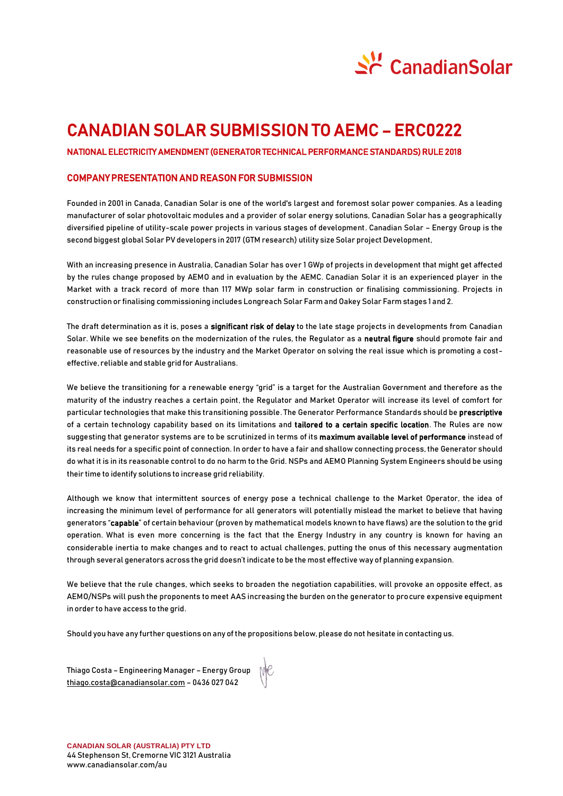

# CANADIAN SOLAR SUBMISSION TO AEMC – ERC0222

### NATIONAL ELECTRICITY AMENDMENT (GENERATOR TECHNICAL PERFORMANCE STANDARDS) RULE 2018

#### COMPANY PRESENTATION AND REASON FOR SUBMISSION

Founded in 2001 in Canada, Canadian Solar is one of the world's largest and foremost solar power companies. As a leading manufacturer of solar photovoltaic modules and a provider of solar energy solutions, Canadian Solar has a geographically diversified pipeline of utility-scale power projects in various stages of development. Canadian Solar – Energy Group is the second biggest global Solar PV developers in 2017 (GTM research) utility size Solar project Development,

With an increasing presence in Australia, Canadian Solar has over 1 GWp of projects in development that might get affected by the rules change proposed by AEMO and in evaluation by the AEMC. Canadian Solar it is an experienced player in the Market with a track record of more than 117 MWp solar farm in construction or finalising commissioning. Projects in construction or finalising commissioning includes Longreach Solar Farm and Oakey Solar Farm stages 1 and 2.

The draft determination as it is, poses a significant risk of delay to the late stage projects in developments from Canadian Solar. While we see benefits on the modernization of the rules, the Regulator as a neutral figure should promote fair and reasonable use of resources by the industry and the Market Operator on solving the real issue which is promoting a costeffective, reliable and stable grid for Australians.

We believe the transitioning for a renewable energy "grid" is a target for the Australian Government and therefore as the maturity of the industry reaches a certain point, the Regulator and Market Operator will increase its level of comfort for particular technologies that make this transitioning possible. The Generator Performance Standards should be prescriptive of a certain technology capability based on its limitations and tailored to a certain specific location. The Rules are now suggesting that generator systems are to be scrutinized in terms of its maximum available level of performance instead of its real needs for a specific point of connection. In order to have a fair and shallow connecting process, the Generator should do what it is in its reasonable control to do no harm to the Grid. NSPs and AEMO Planning System Engineers should be using their time to identify solutions to increase grid reliability.

Although we know that intermittent sources of energy pose a technical challenge to the Market Operator, the idea of increasing the minimum level of performance for all generators will potentially mislead the market to believe that having generators "capable" of certain behaviour (proven by mathematical models known to have flaws) are the solution to the grid operation. What is even more concerning is the fact that the Energy Industry in any country is known for having an considerable inertia to make changes and to react to actual challenges, putting the onus of this necessary augmentation through several generators across the grid doesn't indicate to be the most effective way of planning expansion.

We believe that the rule changes, which seeks to broaden the negotiation capabilities, will provoke an opposite effect, as AEMO/NSPs will push the proponents to meet AAS increasing the burden on the generator to procure expensive equipment in order to have access to the grid.

Should you have any further questions on any of the propositions below, please do not hesitate in contacting us.

Thiago Costa – Engineering Manager – Energy Group [thiago.costa@canadiansolar.com](mailto:thiago.costa@canadiansolar.com) – 0436 027 042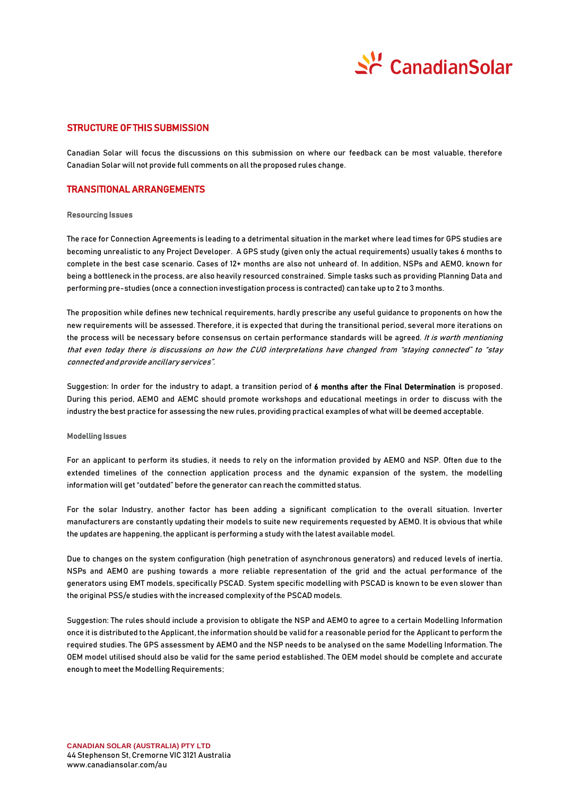

### STRUCTURE OF THIS SUBMISSION

Canadian Solar will focus the discussions on this submission on where our feedback can be most valuable, therefore Canadian Solar will not provide full comments on all the proposed rules change.

### TRANSITIONAL ARRANGEMENTS

#### Resourcing Issues

The race for Connection Agreements is leading to a detrimental situation in the market where lead times for GPS studies are becoming unrealistic to any Project Developer. A GPS study (given only the actual requirements) usually takes 6 months to complete in the best case scenario. Cases of 12+ months are also not unheard of. In addition, NSPs and AEMO, known for being a bottleneck in the process, are also heavily resourced constrained. Simple tasks such as providing Planning Data and performing pre-studies (once a connection investigation process is contracted) can take up to 2 to 3 months.

The proposition while defines new technical requirements, hardly prescribe any useful guidance to proponents on how the new requirements will be assessed. Therefore, it is expected that during the transitional period, several more iterations on the process will be necessary before consensus on certain performance standards will be agreed. It is worth mentioning that even today there is discussions on how the CUO interpretations have changed from "staying connected" to "stay connected and provide ancillary services".

Suggestion: In order for the industry to adapt, a transition period of 6 months after the Final Determination is proposed. During this period, AEMO and AEMC should promote workshops and educational meetings in order to discuss with the industry the best practice for assessing the new rules, providing practical examples of what will be deemed acceptable.

#### Modelling Issues

For an applicant to perform its studies, it needs to rely on the information provided by AEMO and NSP. Often due to the extended timelines of the connection application process and the dynamic expansion of the system, the modelling information will get "outdated" before the generator can reach the committed status.

For the solar Industry, another factor has been adding a significant complication to the overall situation. Inverter manufacturers are constantly updating their models to suite new requirements requested by AEMO. It is obvious that while the updates are happening, the applicant is performing a study with the latest available model.

Due to changes on the system configuration (high penetration of asynchronous generators) and reduced levels of inertia, NSPs and AEMO are pushing towards a more reliable representation of the grid and the actual performance of the generators using EMT models, specifically PSCAD. System specific modelling with PSCAD is known to be even slower than the original PSS/e studies with the increased complexity of the PSCAD models.

Suggestion: The rules should include a provision to obligate the NSP and AEMO to agree to a certain Modelling Information once it is distributed to the Applicant, the information should be valid for a reasonable period for the Applicant to perform the required studies. The GPS assessment by AEMO and the NSP needs to be analysed on the same Modelling Information. The OEM model utilised should also be valid for the same period established. The OEM model should be complete and accurate enough to meet the Modelling Requirements;